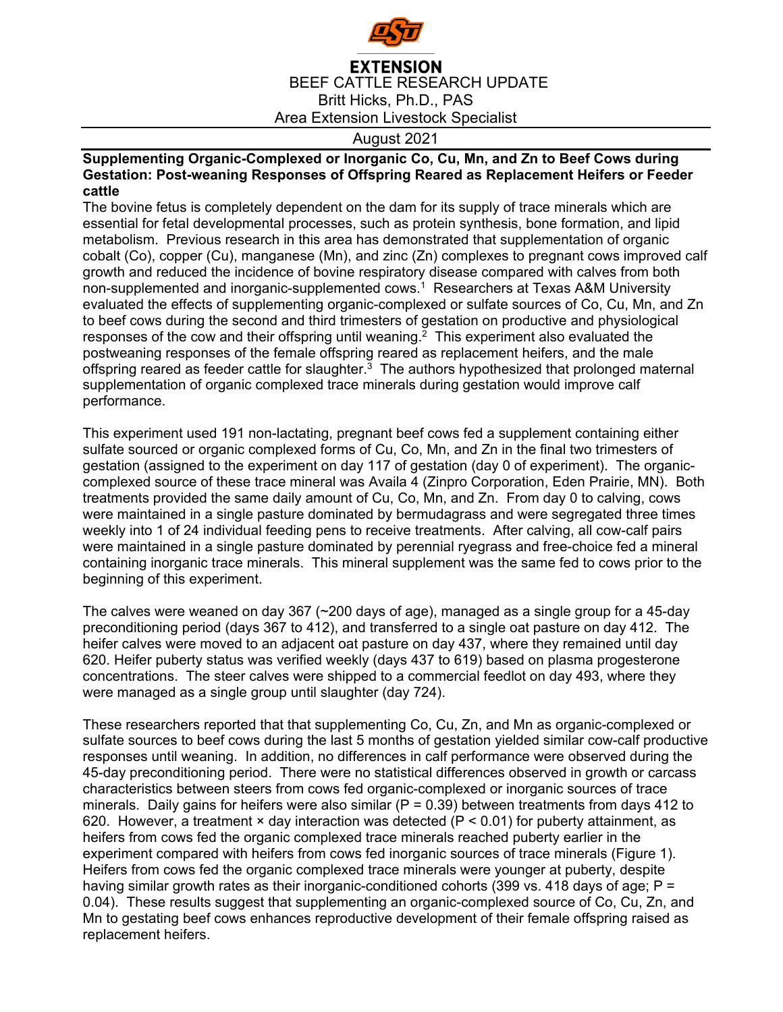

## **EXTENSION** BEEF CATTLE RESEARCH UPDATE Britt Hicks, Ph.D., PAS Area Extension Livestock Specialist

## August 2021

**Supplementing Organic-Complexed or Inorganic Co, Cu, Mn, and Zn to Beef Cows during Gestation: Post-weaning Responses of Offspring Reared as Replacement Heifers or Feeder cattle** 

The bovine fetus is completely dependent on the dam for its supply of trace minerals which are essential for fetal developmental processes, such as protein synthesis, bone formation, and lipid metabolism. Previous research in this area has demonstrated that supplementation of organic cobalt (Co), copper (Cu), manganese (Mn), and zinc (Zn) complexes to pregnant cows improved calf growth and reduced the incidence of bovine respiratory disease compared with calves from both non-supplemented and inorganic-supplemented cows.<sup>1</sup> Researchers at Texas A&M University evaluated the effects of supplementing organic-complexed or sulfate sources of Co, Cu, Mn, and Zn to beef cows during the second and third trimesters of gestation on productive and physiological responses of the cow and their offspring until weaning.<sup>2</sup> This experiment also evaluated the postweaning responses of the female offspring reared as replacement heifers, and the male offspring reared as feeder cattle for slaughter. $3$  The authors hypothesized that prolonged maternal supplementation of organic complexed trace minerals during gestation would improve calf performance.

This experiment used 191 non-lactating, pregnant beef cows fed a supplement containing either sulfate sourced or organic complexed forms of Cu, Co, Mn, and Zn in the final two trimesters of gestation (assigned to the experiment on day 117 of gestation (day 0 of experiment). The organiccomplexed source of these trace mineral was Availa 4 (Zinpro Corporation, Eden Prairie, MN). Both treatments provided the same daily amount of Cu, Co, Mn, and Zn. From day 0 to calving, cows were maintained in a single pasture dominated by bermudagrass and were segregated three times weekly into 1 of 24 individual feeding pens to receive treatments. After calving, all cow-calf pairs were maintained in a single pasture dominated by perennial ryegrass and free-choice fed a mineral containing inorganic trace minerals. This mineral supplement was the same fed to cows prior to the beginning of this experiment.

The calves were weaned on day 367 (~200 days of age), managed as a single group for a 45-day preconditioning period (days 367 to 412), and transferred to a single oat pasture on day 412. The heifer calves were moved to an adjacent oat pasture on day 437, where they remained until day 620. Heifer puberty status was verified weekly (days 437 to 619) based on plasma progesterone concentrations. The steer calves were shipped to a commercial feedlot on day 493, where they were managed as a single group until slaughter (day 724).

These researchers reported that that supplementing Co, Cu, Zn, and Mn as organic-complexed or sulfate sources to beef cows during the last 5 months of gestation yielded similar cow-calf productive responses until weaning. In addition, no differences in calf performance were observed during the 45-day preconditioning period. There were no statistical differences observed in growth or carcass characteristics between steers from cows fed organic-complexed or inorganic sources of trace minerals. Daily gains for heifers were also similar ( $P = 0.39$ ) between treatments from days 412 to 620. However, a treatment  $\times$  day interaction was detected (P < 0.01) for puberty attainment, as heifers from cows fed the organic complexed trace minerals reached puberty earlier in the experiment compared with heifers from cows fed inorganic sources of trace minerals (Figure 1). Heifers from cows fed the organic complexed trace minerals were younger at puberty, despite having similar growth rates as their inorganic-conditioned cohorts (399 vs. 418 days of age; P = 0.04). These results suggest that supplementing an organic-complexed source of Co, Cu, Zn, and Mn to gestating beef cows enhances reproductive development of their female offspring raised as replacement heifers.